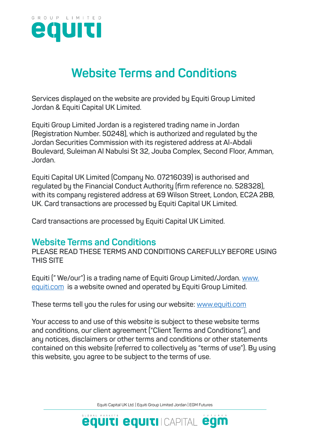

# **Website Terms and Conditions**

**Services displayed on the website are provided by Equiti Group Limited Jordan & Equiti Capital UK Limited.**

**Equiti Group Limited Jordan is a registered trading name in Jordan (Registration Number. 50248), which is authorized and regulated by the Jordan Securities Commission with its registered address at Al-Abdali Boulevard, Suleiman Al Nabulsi St 32, Jouba Complex, Second Floor, Amman, Jordan.**

**Equiti Capital UK Limited (Company No. 07216039) is authorised and regulated by the Financial Conduct Authority (firm reference no. 528328), with its company registered address at 69 Wilson Street, London, EC2A 2BB, UK. Card transactions are processed by Equiti Capital UK Limited.**

**Card transactions are processed by Equiti Capital UK Limited.**

#### **Website Terms and Conditions**

**PLEASE READ THESE TERMS AND CONDITIONS CAREFULLY BEFORE USING THIS SITE** 

**Equiti (" We/our") is a trading name of Equiti Group Limited/Jordan.** www. equiti.com **is a website owned and operated by Equiti Group Limited.** 

**These terms tell you the rules for using our website:** www.equiti.com

**Your access to and use of this website is subject to these website terms and conditions, our client agreement ("Client Terms and Conditions"), and any notices, disclaimers or other terms and conditions or other statements contained on this website (referred to collectively as "terms of use"). By using this website, you agree to be subject to the terms of use.**

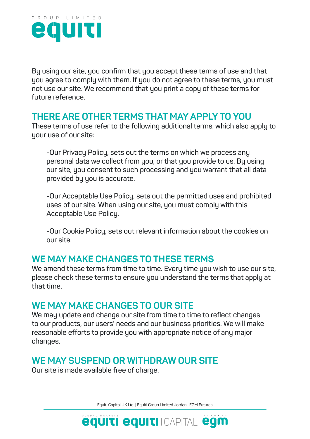

**By using our site, you confirm that you accept these terms of use and that you agree to comply with them. If you do not agree to these terms, you must not use our site. We recommend that you print a copy of these terms for future reference.**

### **THERE ARE OTHER TERMS THAT MAY APPLY TO YOU**

**These terms of use refer to the following additional terms, which also apply to your use of our site:**

**-Our Privacy Policy, sets out the terms on which we process any personal data we collect from you, or that you provide to us. By using our site, you consent to such processing and you warrant that all data provided by you is accurate.**

**-Our Acceptable Use Policy, sets out the permitted uses and prohibited uses of our site. When using our site, you must comply with this Acceptable Use Policy.**

**-Our Cookie Policy, sets out relevant information about the cookies on our site.**

### **WE MAY MAKE CHANGES TO THESE TERMS**

**We amend these terms from time to time. Every time you wish to use our site, please check these terms to ensure you understand the terms that apply at that time.**

### **WE MAY MAKE CHANGES TO OUR SITE**

**We may update and change our site from time to time to reflect changes to our products, our users' needs and our business priorities. We will make reasonable efforts to provide you with appropriate notice of any major changes.**

### **WE MAY SUSPEND OR WITHDRAW OUR SITE**

**Our site is made available free of charge.**

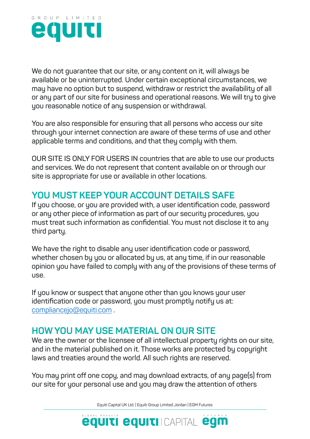

**We do not guarantee that our site, or any content on it, will always be available or be uninterrupted. Under certain exceptional circumstances, we may have no option but to suspend, withdraw or restrict the availability of all or any part of our site for business and operational reasons. We will try to give you reasonable notice of any suspension or withdrawal.**

**You are also responsible for ensuring that all persons who access our site through your internet connection are aware of these terms of use and other applicable terms and conditions, and that they comply with them.**

**OUR SITE IS ONLY FOR USERS IN countries that are able to use our products and services. We do not represent that content available on or through our site is appropriate for use or available in other locations.**

## **YOU MUST KEEP YOUR ACCOUNT DETAILS SAFE**

**If you choose, or you are provided with, a user identification code, password or any other piece of information as part of our security procedures, you must treat such information as confidential. You must not disclose it to any third party.**

**We have the right to disable any user identification code or password, whether chosen by you or allocated by us, at any time, if in our reasonable opinion you have failed to comply with any of the provisions of these terms of use.**

**If you know or suspect that anyone other than you knows your user identification code or password, you must promptly notify us at:**  compliancejo@equiti.com **.**

### **HOW YOU MAY USE MATERIAL ON OUR SITE**

**We are the owner or the licensee of all intellectual property rights on our site, and in the material published on it. Those works are protected by copyright laws and treaties around the world. All such rights are reserved.**

**You may print off one copy, and may download extracts, of any page(s) from our site for your personal use and you may draw the attention of others**

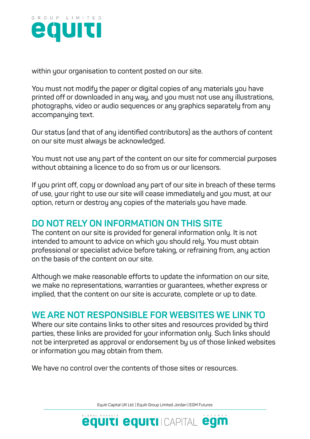

**within your organisation to content posted on our site.**

**You must not modify the paper or digital copies of any materials you have printed off or downloaded in any way, and you must not use any illustrations, photographs, video or audio sequences or any graphics separately from any accompanying text.**

**Our status (and that of any identified contributors) as the authors of content on our site must always be acknowledged.**

**You must not use any part of the content on our site for commercial purposes without obtaining a licence to do so from us or our licensors.**

**If you print off, copy or download any part of our site in breach of these terms of use, your right to use our site will cease immediately and you must, at our option, return or destroy any copies of the materials you have made.**

### **DO NOT RELY ON INFORMATION ON THIS SITE**

**The content on our site is provided for general information only. It is not intended to amount to advice on which you should rely. You must obtain professional or specialist advice before taking, or refraining from, any action on the basis of the content on our site.**

**Although we make reasonable efforts to update the information on our site, we make no representations, warranties or guarantees, whether express or implied, that the content on our site is accurate, complete or up to date.**

### **WE ARE NOT RESPONSIBLE FOR WEBSITES WE LINK TO**

**Where our site contains links to other sites and resources provided by third parties, these links are provided for your information only. Such links should not be interpreted as approval or endorsement by us of those linked websites or information you may obtain from them.**

**We have no control over the contents of those sites or resources.**

Equiti Capital UK Ltd. | Equiti Group Limited Jordan | EGM Futures

**equiti equiti** Icapital egm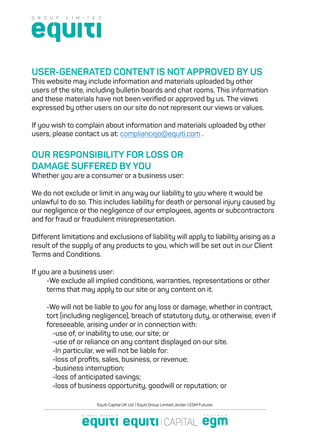

### **USER-GENERATED CONTENT IS NOT APPROVED BY US**

**This website may include information and materials uploaded by other users of the site, including bulletin boards and chat rooms. This information and these materials have not been verified or approved by us. The views expressed by other users on our site do not represent our views or values.**

**If you wish to complain about information and materials uploaded by other users, please contact us at:** compliancejo@equiti.com **.**

## **OUR RESPONSIBILITY FOR LOSS OR DAMAGE SUFFERED BY YOU**

**Whether you are a consumer or a business user:**

**We do not exclude or limit in any way our liability to you where it would be unlawful to do so. This includes liability for death or personal injury caused by our negligence or the negligence of our employees, agents or subcontractors and for fraud or fraudulent misrepresentation.**

**Different limitations and exclusions of liability will apply to liability arising as a result of the supply of any products to you, which will be set out in our Client Terms and Conditions.**

**If you are a business user:**

**-We exclude all implied conditions, warranties, representations or other terms that may apply to our site or any content on it.**

**-We will not be liable to you for any loss or damage, whether in contract, tort (including negligence), breach of statutory duty, or otherwise, even if foreseeable, arising under or in connection with:**

**-use of, or inability to use, our site; or**

- **-use of or reliance on any content displayed on our site.**
- **-In particular, we will not be liable for:**
- **-loss of profits, sales, business, or revenue;**
- **-business interruption;**
- **-loss of anticipated savings;**
- **-loss of business opportunity, goodwill or reputation; or**

Equiti Capital UK Ltd. | Equiti Group Limited Jordan | EGM Futures

**equiti equiti CAPITAL egm**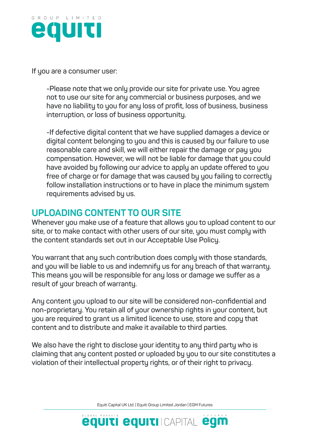

**If you are a consumer user:**

**-Please note that we only provide our site for private use. You agree not to use our site for any commercial or business purposes, and we have no liability to you for any loss of profit, loss of business, business interruption, or loss of business opportunity.**

**-If defective digital content that we have supplied damages a device or digital content belonging to you and this is caused by our failure to use reasonable care and skill, we will either repair the damage or pay you compensation. However, we will not be liable for damage that you could have avoided by following our advice to apply an update offered to you free of charge or for damage that was caused by you failing to correctly follow installation instructions or to have in place the minimum system requirements advised by us.**

### **UPLOADING CONTENT TO OUR SITE**

**Whenever you make use of a feature that allows you to upload content to our site, or to make contact with other users of our site, you must comply with the content standards set out in our Acceptable Use Policy.**

**You warrant that any such contribution does comply with those standards, and you will be liable to us and indemnify us for any breach of that warranty. This means you will be responsible for any loss or damage we suffer as a result of your breach of warranty.**

**Any content you upload to our site will be considered non-confidential and non-proprietary. You retain all of your ownership rights in your content, but you are required to grant us a limited licence to use, store and copy that content and to distribute and make it available to third parties.**

**We also have the right to disclose your identity to any third party who is claiming that any content posted or uploaded by you to our site constitutes a violation of their intellectual property rights, or of their right to privacy.**

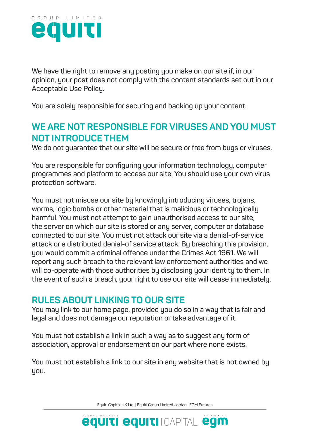

**We have the right to remove any posting you make on our site if, in our opinion, your post does not comply with the content standards set out in our Acceptable Use Policy.**

**You are solely responsible for securing and backing up your content.**

#### **WE ARE NOT RESPONSIBLE FOR VIRUSES AND YOU MUST NOT INTRODUCE THEM**

**We do not guarantee that our site will be secure or free from bugs or viruses.**

**You are responsible for configuring your information technology, computer programmes and platform to access our site. You should use your own virus protection software.**

**You must not misuse our site by knowingly introducing viruses, trojans, worms, logic bombs or other material that is malicious or technologically harmful. You must not attempt to gain unauthorised access to our site, the server on which our site is stored or any server, computer or database connected to our site. You must not attack our site via a denial-of-service attack or a distributed denial-of service attack. By breaching this provision, you would commit a criminal offence under the Crimes Act 1961. We will report any such breach to the relevant law enforcement authorities and we will co-operate with those authorities by disclosing your identity to them. In the event of such a breach, your right to use our site will cease immediately.**

#### **RULES ABOUT LINKING TO OUR SITE**

**You may link to our home page, provided you do so in a way that is fair and legal and does not damage our reputation or take advantage of it.**

**You must not establish a link in such a way as to suggest any form of association, approval or endorsement on our part where none exists.**

**You must not establish a link to our site in any website that is not owned by you.**